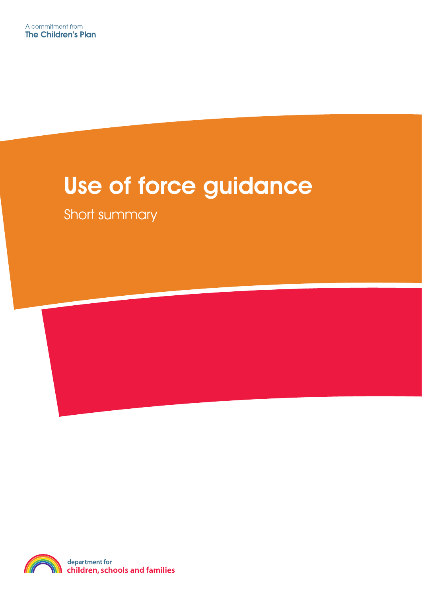## Use of force guidance

Short summary

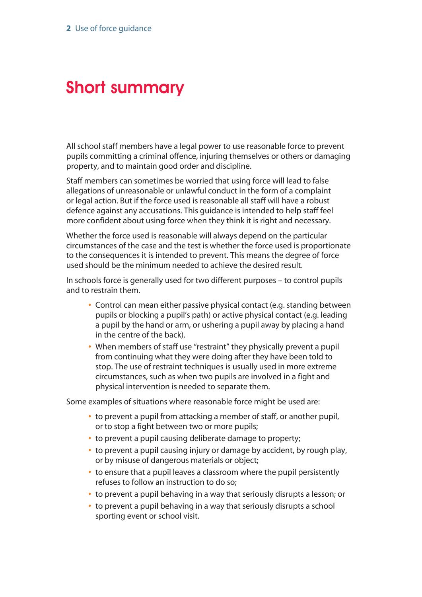## Short summary

All school staff members have a legal power to use reasonable force to prevent pupils committing a criminal offence, injuring themselves or others or damaging property, and to maintain good order and discipline.

Staff members can sometimes be worried that using force will lead to false allegations of unreasonable or unlawful conduct in the form of a complaint or legal action. But if the force used is reasonable all staff will have a robust defence against any accusations. This guidance is intended to help staff feel more confident about using force when they think it is right and necessary.

Whether the force used is reasonable will always depend on the particular circumstances of the case and the test is whether the force used is proportionate to the consequences it is intended to prevent. This means the degree of force used should be the minimum needed to achieve the desired result.

In schools force is generally used for two different purposes – to control pupils and to restrain them.

- **•** Control can mean either passive physical contact (e.g. standing between pupils or blocking a pupil's path) or active physical contact (e.g. leading a pupil by the hand or arm, or ushering a pupil away by placing a hand in the centre of the back).
- **•** When members of staff use "restraint" they physically prevent a pupil from continuing what they were doing after they have been told to stop. The use of restraint techniques is usually used in more extreme circumstances, such as when two pupils are involved in a fight and physical intervention is needed to separate them.

Some examples of situations where reasonable force might be used are:

- **•** to prevent a pupil from attacking a member of staff, or another pupil, or to stop a fight between two or more pupils;
- **•** to prevent a pupil causing deliberate damage to property;
- **•** to prevent a pupil causing injury or damage by accident, by rough play, or by misuse of dangerous materials or object;
- **•** to ensure that a pupil leaves a classroom where the pupil persistently refuses to follow an instruction to do so;
- **•** to prevent a pupil behaving in a way that seriously disrupts a lesson; or
- **•** to prevent a pupil behaving in a way that seriously disrupts a school sporting event or school visit.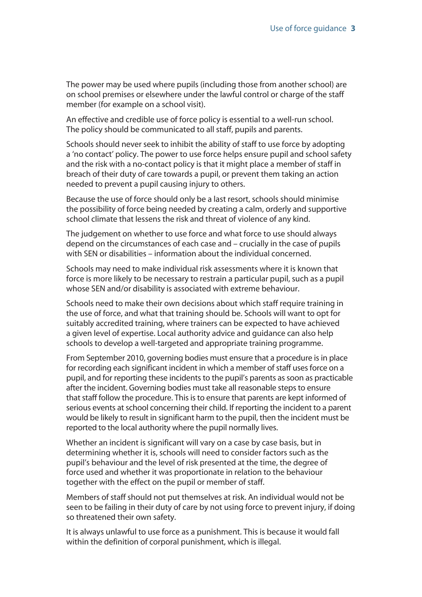The power may be used where pupils (including those from another school) are on school premises or elsewhere under the lawful control or charge of the staff member (for example on a school visit).

An effective and credible use of force policy is essential to a well-run school. The policy should be communicated to all staff, pupils and parents.

Schools should never seek to inhibit the ability of staff to use force by adopting a 'no contact' policy. The power to use force helps ensure pupil and school safety and the risk with a no-contact policy is that it might place a member of staff in breach of their duty of care towards a pupil, or prevent them taking an action needed to prevent a pupil causing injury to others.

Because the use of force should only be a last resort, schools should minimise the possibility of force being needed by creating a calm, orderly and supportive school climate that lessens the risk and threat of violence of any kind.

The judgement on whether to use force and what force to use should always depend on the circumstances of each case and – crucially in the case of pupils with SEN or disabilities – information about the individual concerned.

Schools may need to make individual risk assessments where it is known that force is more likely to be necessary to restrain a particular pupil, such as a pupil whose SEN and/or disability is associated with extreme behaviour.

Schools need to make their own decisions about which staff require training in the use of force, and what that training should be. Schools will want to opt for suitably accredited training, where trainers can be expected to have achieved a given level of expertise. Local authority advice and guidance can also help schools to develop a well-targeted and appropriate training programme.

From September 2010, governing bodies must ensure that a procedure is in place for recording each significant incident in which a member of staff uses force on a pupil, and for reporting these incidents to the pupil's parents as soon as practicable after the incident. Governing bodies must take all reasonable steps to ensure that staff follow the procedure. This is to ensure that parents are kept informed of serious events at school concerning their child. If reporting the incident to a parent would be likely to result in significant harm to the pupil, then the incident must be reported to the local authority where the pupil normally lives.

Whether an incident is significant will vary on a case by case basis, but in determining whether it is, schools will need to consider factors such as the pupil's behaviour and the level of risk presented at the time, the degree of force used and whether it was proportionate in relation to the behaviour together with the effect on the pupil or member of staff.

Members of staff should not put themselves at risk. An individual would not be seen to be failing in their duty of care by not using force to prevent injury, if doing so threatened their own safety.

It is always unlawful to use force as a punishment. This is because it would fall within the definition of corporal punishment, which is illegal.